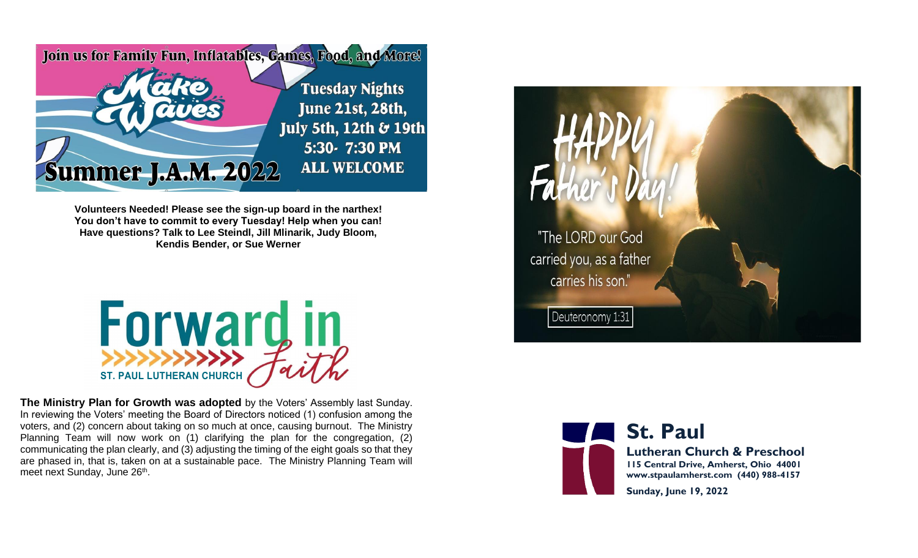

**Volunteers Needed! Please see the sign-up board in the narthex! You don't have to commit to every Tuesday! Help when you can! Have questions? Talk to Lee Steindl, Jill Mlinarik, Judy Bloom, Kendis Bender, or Sue Werner**



**The Ministry Plan for Growth was adopted** by the Voters' Assembly last Sunday. In reviewing the Voters' meeting the Board of Directors noticed (1) confusion among the voters, and (2) concern about taking on so much at once, causing burnout. The Ministry Planning Team will now work on (1) clarifying the plan for the congregation, (2) communicating the plan clearly, and (3) adjusting the timing of the eight goals so that they are phased in, that is, taken on at a sustainable pace. The Ministry Planning Team will meet next Sunday, June 26<sup>th</sup>.





**St. Paul Lutheran Church & Preschool 115 Central Drive, Amherst, Ohio 44001 www.stpaulamherst.com (440) 988-4157**

**Sunday, June 19, 2022**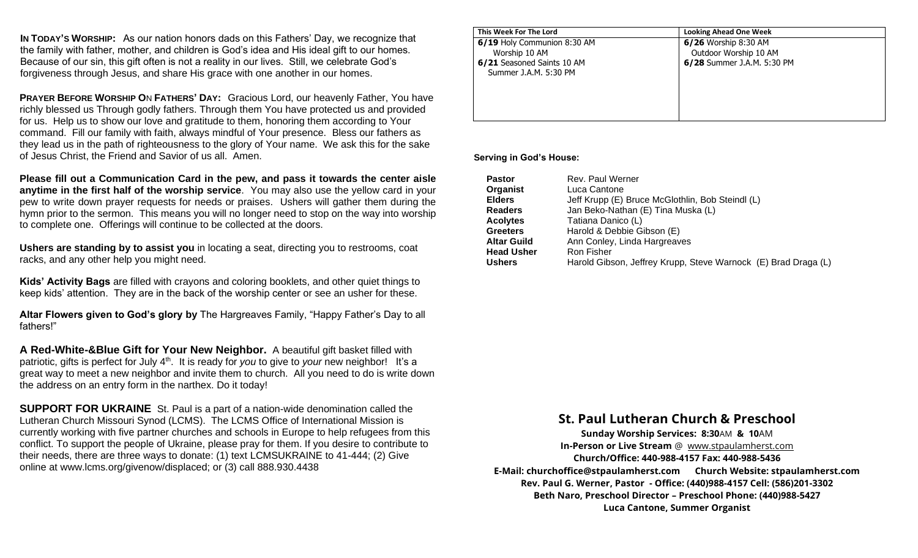**IN TODAY'S WORSHIP:** As our nation honors dads on this Fathers' Day, we recognize that the family with father, mother, and children is God's idea and His ideal gift to our homes. Because of our sin, this gift often is not a reality in our lives. Still, we celebrate God's forgiveness through Jesus, and share His grace with one another in our homes.

**PRAYER BEFORE WORSHIP O**N **FATHERS' DAY:** Gracious Lord, our heavenly Father, You have richly blessed us Through godly fathers. Through them You have protected us and provided for us. Help us to show our love and gratitude to them, honoring them according to Your command. Fill our family with faith, always mindful of Your presence. Bless our fathers as they lead us in the path of righteousness to the glory of Your name. We ask this for the sake of Jesus Christ, the Friend and Savior of us all. Amen.

**Please fill out a Communication Card in the pew, and pass it towards the center aisle anytime in the first half of the worship service**. You may also use the yellow card in your pew to write down prayer requests for needs or praises. Ushers will gather them during the hymn prior to the sermon. This means you will no longer need to stop on the way into worship to complete one. Offerings will continue to be collected at the doors.

**Ushers are standing by to assist you** in locating a seat, directing you to restrooms, coat racks, and any other help you might need.

**Kids' Activity Bags** are filled with crayons and coloring booklets, and other quiet things to keep kids' attention. They are in the back of the worship center or see an usher for these.

**Altar Flowers given to God's glory by** The Hargreaves Family, "Happy Father's Day to all fathers!"

**A Red-White-&Blue Gift for Your New Neighbor.**A beautiful gift basket filled with patriotic, gifts is perfect for July 4<sup>th</sup>. It is ready for *you* to give to *your* new neighbor! It's a great way to meet a new neighbor and invite them to church. All you need to do is write down the address on an entry form in the narthex. Do it today!

**SUPPORT FOR UKRAINE** St. Paul is a part of a nation-wide denomination called the Lutheran Church Missouri Synod (LCMS). The LCMS Office of International Mission is currently working with five partner churches and schools in Europe to help refugees from this conflict. To support the people of Ukraine, please pray for them. If you desire to contribute to their needs, there are three ways to donate: (1) text LCMSUKRAINE to 41-444; (2) Give online at www.lcms.org/givenow/displaced; or (3) call 888.930.4438

| This Week For The Lord      | <b>Looking Ahead One Week</b> |
|-----------------------------|-------------------------------|
| 6/19 Holy Communion 8:30 AM | 6/26 Worship 8:30 AM          |
| Worship 10 AM               | Outdoor Worship 10 AM         |
| 6/21 Seasoned Saints 10 AM  | 6/28 Summer J.A.M. 5:30 PM    |
| Summer J.A.M. 5:30 PM       |                               |
|                             |                               |
|                             |                               |
|                             |                               |
|                             |                               |

#### **Serving in God's House:**

| <b>Pastor</b>      | Rev. Paul Werner                                               |
|--------------------|----------------------------------------------------------------|
| Organist           | Luca Cantone                                                   |
| <b>Elders</b>      | Jeff Krupp (E) Bruce McGlothlin, Bob Steindl (L)               |
| <b>Readers</b>     | Jan Beko-Nathan (E) Tina Muska (L)                             |
| <b>Acolytes</b>    | Tatiana Danico (L)                                             |
| <b>Greeters</b>    | Harold & Debbie Gibson (E)                                     |
| <b>Altar Guild</b> | Ann Conley, Linda Hargreaves                                   |
| <b>Head Usher</b>  | Ron Fisher                                                     |
| <b>Ushers</b>      | Harold Gibson, Jeffrey Krupp, Steve Warnock (E) Brad Draga (L) |

#### **St. Paul Lutheran Church & Preschool**

**Sunday Worship Services: 8:30**AM **& 10**AM **In-Person or Live Stream** @ [www.stpaulamherst.com](http://www.stpaulamherst.com/) **Church/Office: 440-988-4157 Fax: 440-988-5436 E-Mail: churchoffice@stpaulamherst.com Church Website: stpaulamherst.com Rev. Paul G. Werner, Pastor - Office: (440)988-4157 Cell: (586)201-3302 Beth Naro, Preschool Director – Preschool Phone: (440)988-5427 Luca Cantone, Summer Organist**